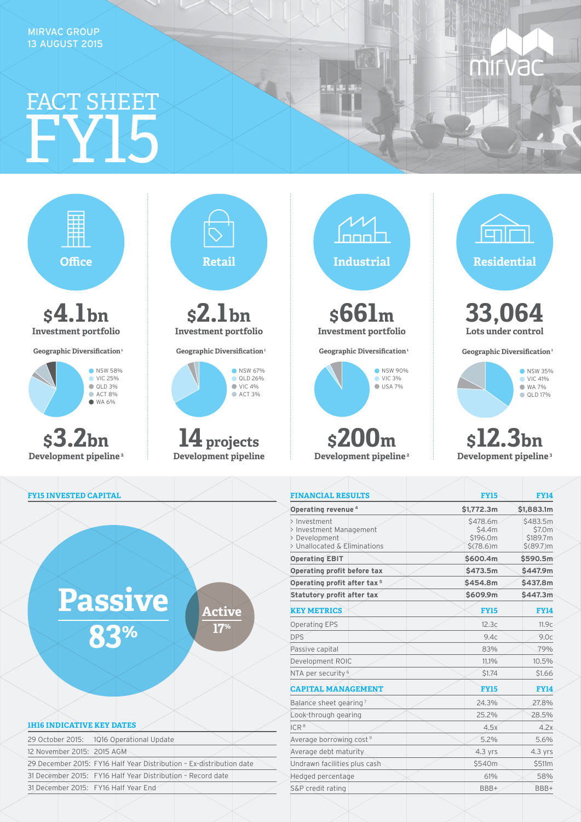MIRVAC GROUP 13 AUGUST 2015

## FY15 FACT SHEET



nnn. **\$661m Investment portfolio Geographic Diversification**<sup>1</sup> **NSW 90%**  $\bigcirc$  VIC 3% USA 7%

**\$200m Development pipeline 2** lanl

**Mirva** 

**33,064 Lots under control**

**Geographic Diversification**<sup>1</sup>



**\$12.3bn Development pipeline 3**

| <b>FINANCIAL RESULTS</b>                                                                 | <b>FY15</b>                                   | <b>FY14</b>                                   |  |  |
|------------------------------------------------------------------------------------------|-----------------------------------------------|-----------------------------------------------|--|--|
| Operating revenue <sup>4</sup>                                                           | \$1,772.3m                                    | \$1,883.1m                                    |  |  |
| > Investment<br>> Investment Management<br>> Development<br>> Unallocated & Eliminations | \$478.6m<br>\$4.4m<br>\$196.0m<br>$$(78.6)$ m | \$483.5m<br>\$7.0m<br>\$189.7m<br>\$ (89.7) m |  |  |
| <b>Operating EBIT</b>                                                                    | \$600.4m                                      | \$590.5m                                      |  |  |
| Operating profit before tax                                                              | \$473.5m                                      | \$447.9m                                      |  |  |
| Operating profit after tax <sup>5</sup>                                                  | \$454.8m                                      | \$437.8m                                      |  |  |
| Statutory profit after tax                                                               | \$609.9m                                      | \$447.3m                                      |  |  |
| <b>KEY METRICS</b>                                                                       | <b>FY15</b>                                   | <b>FY14</b>                                   |  |  |
| <b>Operating EPS</b>                                                                     | 12.3c                                         | 11.9c                                         |  |  |
| <b>DPS</b>                                                                               | 9.4c                                          | 9.0c                                          |  |  |
| Passive capital                                                                          | 83%                                           | 79%                                           |  |  |
| Development ROIC                                                                         | 11.1%                                         | 10.5%                                         |  |  |
| NTA per security <sup>6</sup>                                                            | \$1.74                                        | \$1.66                                        |  |  |
| <b>CAPITAL MANAGEMENT</b>                                                                | <b>FY15</b>                                   | <b>FY14</b>                                   |  |  |
| Balance sheet gearing?                                                                   | 24.3%                                         | 27.8%                                         |  |  |
| Look-through gearing                                                                     | 25.2%                                         | 28.5%                                         |  |  |
| ICR <sup>8</sup>                                                                         | 4.5x                                          | 4.2x                                          |  |  |
| Average borrowing cost <sup>9</sup>                                                      | 5.2%                                          | 5.6%                                          |  |  |
| Average debt maturity                                                                    | $4.3$ yrs                                     | $4.3$ yrs                                     |  |  |
| Undrawn facilities plus cash                                                             | \$540m                                        | \$511m                                        |  |  |
| Hedged percentage                                                                        | 61%                                           | 58%                                           |  |  |
| S&P credit rating                                                                        | BBB+                                          | BBB+                                          |  |  |
|                                                                                          |                                               |                                               |  |  |